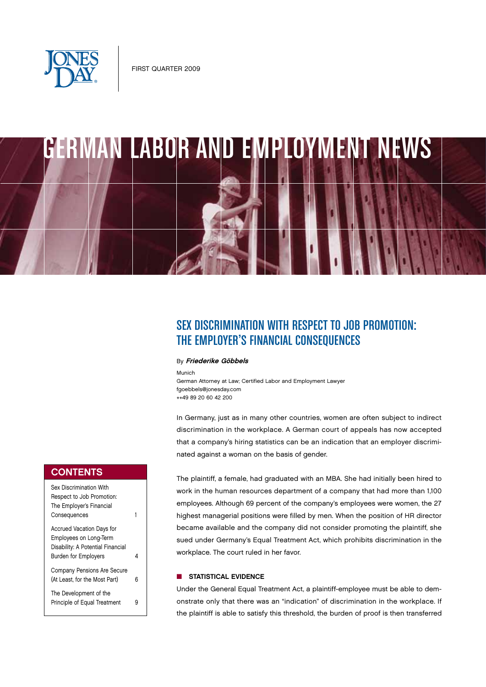

# GERMAN LABOR AND EMPLOYMENT NEWS

# SEX DISCRIMINATION WITH RESPECT TO JOB PROMOTION: THE EMPLOYER'S FINANCIAL CONSEQUENCES

## By Friederike Göbbels

Munich

German Attorney at Law; Certified Labor and Employment Lawyer fgoebbels@jonesday.com ++49 89 20 60 42 200

In Germany, just as in many other countries, women are often subject to indirect discrimination in the workplace. A German court of appeals has now accepted that a company's hiring statistics can be an indication that an employer discriminated against a woman on the basis of gender.

# **CONTENTS**

| Sex Discrimination With                                                                                                        |   |
|--------------------------------------------------------------------------------------------------------------------------------|---|
| Respect to Job Promotion:                                                                                                      |   |
| The Employer's Financial                                                                                                       |   |
| Consequences                                                                                                                   |   |
| <b>Accrued Vacation Days for</b><br>Employees on Long-Term<br>Disability: A Potential Financial<br><b>Burden for Employers</b> | 4 |
| Company Pensions Are Secure                                                                                                    |   |
| (At Least, for the Most Part)                                                                                                  | հ |
| The Development of the<br>Principle of Equal Treatment                                                                         |   |

The plaintiff, a female, had graduated with an MBA. She had initially been hired to work in the human resources department of a company that had more than 1,100 employees. Although 69 percent of the company's employees were women, the 27 highest managerial positions were filled by men. When the position of HR director became available and the company did not consider promoting the plaintiff, she sued under Germany's Equal Treatment Act, which prohibits discrimination in the workplace. The court ruled in her favor.

# $\blacksquare$  STATISTICAL EVIDENCE

Under the General Equal Treatment Act, a plaintiff-employee must be able to demonstrate only that there was an "indication" of discrimination in the workplace. If the plaintiff is able to satisfy this threshold, the burden of proof is then transferred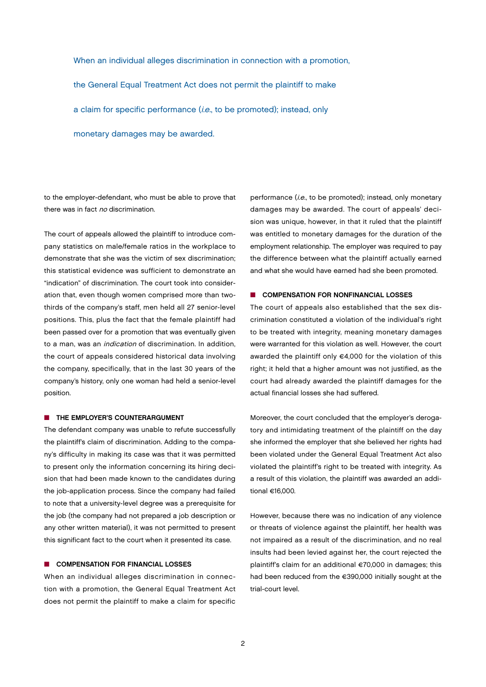When an individual alleges discrimination in connection with a promotion, the General Equal Treatment Act does not permit the plaintiff to make a claim for specific performance (*i.e.*, to be promoted); instead, only monetary damages may be awarded.

to the employer-defendant, who must be able to prove that there was in fact no discrimination.

The court of appeals allowed the plaintiff to introduce company statistics on male/female ratios in the workplace to demonstrate that she was the victim of sex discrimination; this statistical evidence was sufficient to demonstrate an "indication" of discrimination. The court took into consideration that, even though women comprised more than twothirds of the company's staff, men held all 27 senior-level positions. This, plus the fact that the female plaintiff had been passed over for a promotion that was eventually given to a man, was an indication of discrimination. In addition, the court of appeals considered historical data involving the company, specifically, that in the last 30 years of the company's history, only one woman had held a senior-level position.

# **n** THE EMPLOYER'S COUNTERARGUMENT

The defendant company was unable to refute successfully the plaintiff's claim of discrimination. Adding to the company's difficulty in making its case was that it was permitted to present only the information concerning its hiring decision that had been made known to the candidates during the job-application process. Since the company had failed to note that a university-level degree was a prerequisite for the job (the company had not prepared a job description or any other written material), it was not permitted to present this significant fact to the court when it presented its case.

#### **n** COMPENSATION FOR FINANCIAL LOSSES

When an individual alleges discrimination in connection with a promotion, the General Equal Treatment Act does not permit the plaintiff to make a claim for specific

performance (i.e., to be promoted); instead, only monetary damages may be awarded. The court of appeals' decision was unique, however, in that it ruled that the plaintiff was entitled to monetary damages for the duration of the employment relationship. The employer was required to pay the difference between what the plaintiff actually earned and what she would have earned had she been promoted.

#### **n** COMPENSATION FOR NONFINANCIAL LOSSES

The court of appeals also established that the sex discrimination constituted a violation of the individual's right to be treated with integrity, meaning monetary damages were warranted for this violation as well. However, the court awarded the plaintiff only €4,000 for the violation of this right; it held that a higher amount was not justified, as the court had already awarded the plaintiff damages for the actual financial losses she had suffered.

Moreover, the court concluded that the employer's derogatory and intimidating treatment of the plaintiff on the day she informed the employer that she believed her rights had been violated under the General Equal Treatment Act also violated the plaintiff's right to be treated with integrity. As a result of this violation, the plaintiff was awarded an additional €16,000.

However, because there was no indication of any violence or threats of violence against the plaintiff, her health was not impaired as a result of the discrimination, and no real insults had been levied against her, the court rejected the plaintiff's claim for an additional €70,000 in damages; this had been reduced from the €390,000 initially sought at the trial-court level.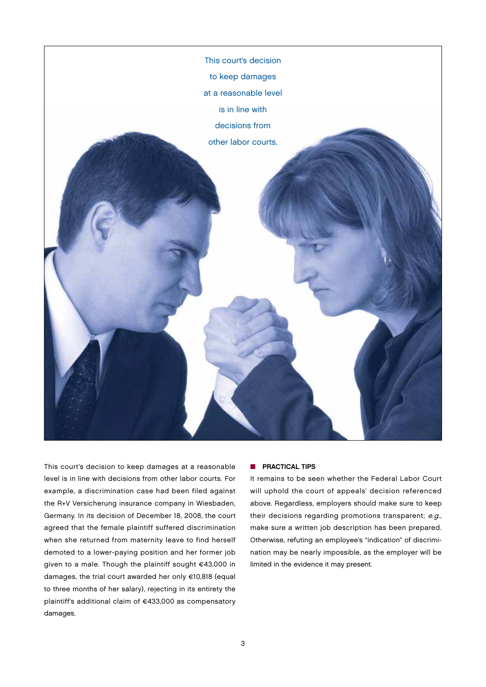

This court's decision to keep damages at a reasonable level is in line with decisions from other labor courts. For example, a discrimination case had been filed against the R+V Versicherung insurance company in Wiesbaden, Germany. In its decision of December 18, 2008, the court agreed that the female plaintiff suffered discrimination when she returned from maternity leave to find herself demoted to a lower-paying position and her former job given to a male. Though the plaintiff sought €43,000 in damages, the trial court awarded her only €10,818 (equal to three months of her salary), rejecting in its entirety the plaintiff's additional claim of €433,000 as compensatory damages.

#### $\blacksquare$  PRACTICAL TIPS

It remains to be seen whether the Federal Labor Court will uphold the court of appeals' decision referenced above. Regardless, employers should make sure to keep their decisions regarding promotions transparent; e.g., make sure a written job description has been prepared. Otherwise, refuting an employee's "indication" of discrimination may be nearly impossible, as the employer will be limited in the evidence it may present.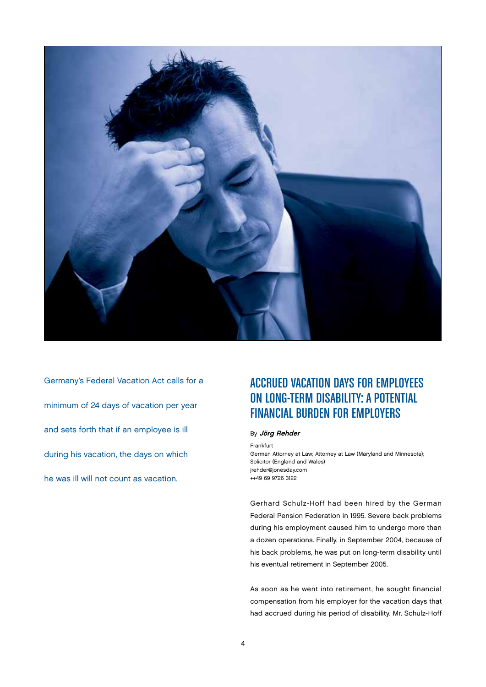

Germany's Federal Vacation Act calls for a minimum of 24 days of vacation per year and sets forth that if an employee is ill during his vacation, the days on which he was ill will not count as vacation.

# ACCRUED VACATION DAYS FOR EMPLOYEES ON LONG-TERM DISABILITY: A POTENTIAL FINANCIAL BURDEN FOR EMPLOYERS

# By Jörg Rehder

Frankfurt German Attorney at Law; Attorney at Law (Maryland and Minnesota); Solicitor (England and Wales) jrehder@jonesday.com ++49 69 9726 3122

Gerhard Schulz-Hoff had been hired by the German Federal Pension Federation in 1995. Severe back problems during his employment caused him to undergo more than a dozen operations. Finally, in September 2004, because of his back problems, he was put on long-term disability until his eventual retirement in September 2005.

As soon as he went into retirement, he sought financial compensation from his employer for the vacation days that had accrued during his period of disability. Mr. Schulz-Hoff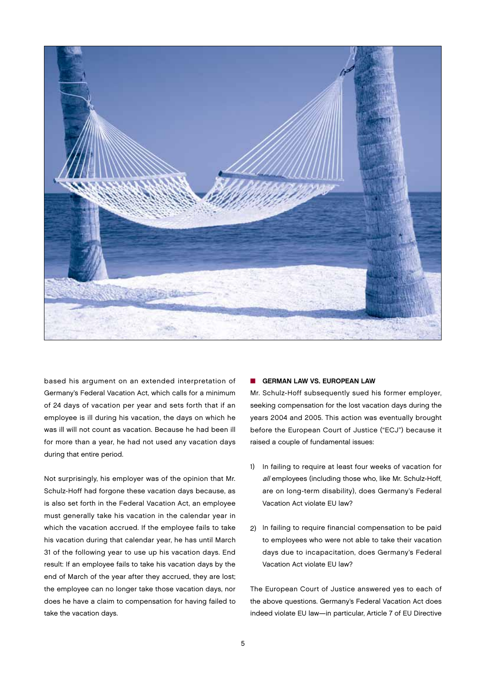

based his argument on an extended interpretation of Germany's Federal Vacation Act, which calls for a minimum of 24 days of vacation per year and sets forth that if an employee is ill during his vacation, the days on which he was ill will not count as vacation. Because he had been ill for more than a year, he had not used any vacation days during that entire period.

Not surprisingly, his employer was of the opinion that Mr. Schulz-Hoff had forgone these vacation days because, as is also set forth in the Federal Vacation Act, an employee must generally take his vacation in the calendar year in which the vacation accrued. If the employee fails to take his vacation during that calendar year, he has until March 31 of the following year to use up his vacation days. End result: If an employee fails to take his vacation days by the end of March of the year after they accrued, they are lost; the employee can no longer take those vacation days, nor does he have a claim to compensation for having failed to take the vacation days.

## **n** GERMAN LAW VS. EUROPEAN LAW

Mr. Schulz-Hoff subsequently sued his former employer, seeking compensation for the lost vacation days during the years 2004 and 2005. This action was eventually brought before the European Court of Justice ("ECJ") because it raised a couple of fundamental issues:

- 1) In failing to require at least four weeks of vacation for all employees (including those who, like Mr. Schulz-Hoff, are on long-term disability), does Germany's Federal Vacation Act violate EU law?
- 2) In failing to require financial compensation to be paid to employees who were not able to take their vacation days due to incapacitation, does Germany's Federal Vacation Act violate EU law?

The European Court of Justice answered yes to each of the above questions. Germany's Federal Vacation Act does indeed violate EU law—in particular, Article 7 of EU Directive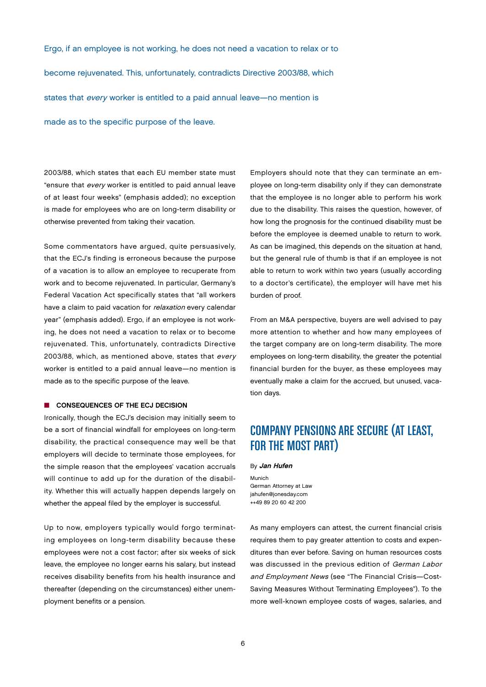Ergo, if an employee is not working, he does not need a vacation to relax or to

become rejuvenated. This, unfortunately, contradicts Directive 2003/88, which

states that every worker is entitled to a paid annual leave—no mention is

made as to the specific purpose of the leave.

2003/88, which states that each EU member state must "ensure that every worker is entitled to paid annual leave of at least four weeks" (emphasis added); no exception is made for employees who are on long-term disability or otherwise prevented from taking their vacation.

Some commentators have argued, quite persuasively, that the ECJ's finding is erroneous because the purpose of a vacation is to allow an employee to recuperate from work and to become rejuvenated. In particular, Germany's Federal Vacation Act specifically states that "all workers have a claim to paid vacation for relaxation every calendar year" (emphasis added). Ergo, if an employee is not working, he does not need a vacation to relax or to become rejuvenated. This, unfortunately, contradicts Directive 2003/88, which, as mentioned above, states that every worker is entitled to a paid annual leave—no mention is made as to the specific purpose of the leave.

## CONSEQUENCES OF THE ECJ DECISION

Ironically, though the ECJ's decision may initially seem to be a sort of financial windfall for employees on long-term disability, the practical consequence may well be that employers will decide to terminate those employees, for the simple reason that the employees' vacation accruals will continue to add up for the duration of the disability. Whether this will actually happen depends largely on whether the appeal filed by the employer is successful.

Up to now, employers typically would forgo terminating employees on long-term disability because these employees were not a cost factor; after six weeks of sick leave, the employee no longer earns his salary, but instead receives disability benefits from his health insurance and thereafter (depending on the circumstances) either unemployment benefits or a pension.

Employers should note that they can terminate an employee on long-term disability only if they can demonstrate that the employee is no longer able to perform his work due to the disability. This raises the question, however, of how long the prognosis for the continued disability must be before the employee is deemed unable to return to work. As can be imagined, this depends on the situation at hand, but the general rule of thumb is that if an employee is not able to return to work within two years (usually according to a doctor's certificate), the employer will have met his burden of proof.

From an M&A perspective, buyers are well advised to pay more attention to whether and how many employees of the target company are on long-term disability. The more employees on long-term disability, the greater the potential financial burden for the buyer, as these employees may eventually make a claim for the accrued, but unused, vacation days.

# COMPANY PENSIONS ARE SECURE (AT LEAST, FOR THE MOST PART)

## By Jan Hufen

Munich German Attorney at Law jahufen@jonesday.com ++49 89 20 60 42 200

As many employers can attest, the current financial crisis requires them to pay greater attention to costs and expenditures than ever before. Saving on human resources costs was discussed in the previous edition of German Labor and Employment News (see "The Financial Crisis—Cost-Saving Measures Without Terminating Employees"). To the more well-known employee costs of wages, salaries, and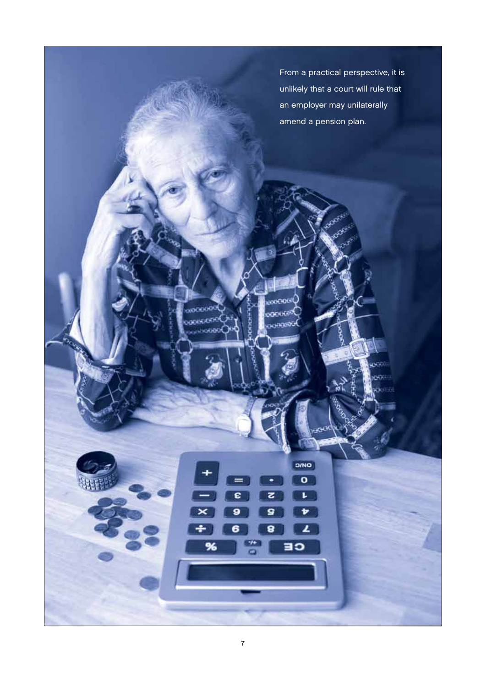

 $O/NO$  $\overline{\mathbf{o}}$  $\overline{\mathbf{r}}$ 

Þ

 $\overline{ }$ 

CE

έ

 $\bullet$ 

6

96

ट

9

8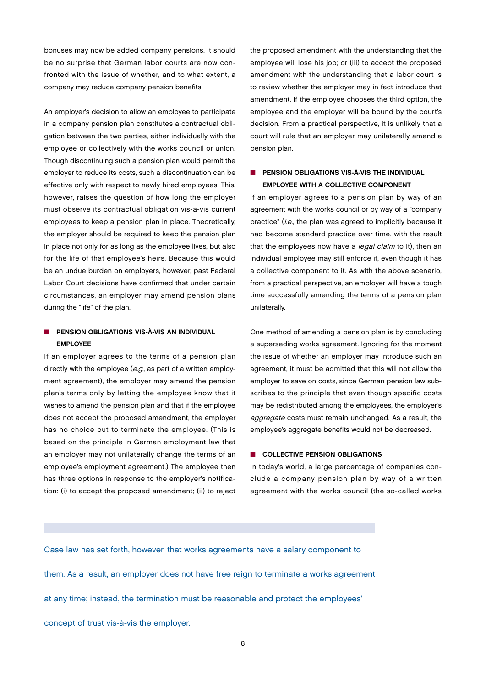bonuses may now be added company pensions. It should be no surprise that German labor courts are now confronted with the issue of whether, and to what extent, a company may reduce company pension benefits.

An employer's decision to allow an employee to participate in a company pension plan constitutes a contractual obligation between the two parties, either individually with the employee or collectively with the works council or union. Though discontinuing such a pension plan would permit the employer to reduce its costs, such a discontinuation can be effective only with respect to newly hired employees. This, however, raises the question of how long the employer must observe its contractual obligation vis-à-vis current employees to keep a pension plan in place. Theoretically, the employer should be required to keep the pension plan in place not only for as long as the employee lives, but also for the life of that employee's heirs. Because this would be an undue burden on employers, however, past Federal Labor Court decisions have confirmed that under certain circumstances, an employer may amend pension plans during the "life" of the plan.

# $\blacksquare$  PENSION OBLIGATIONS VIS-À-VIS AN INDIVIDUAL Employee

If an employer agrees to the terms of a pension plan directly with the employee (e.g., as part of a written employment agreement), the employer may amend the pension plan's terms only by letting the employee know that it wishes to amend the pension plan and that if the employee does not accept the proposed amendment, the employer has no choice but to terminate the employee. (This is based on the principle in German employment law that an employer may not unilaterally change the terms of an employee's employment agreement.) The employee then has three options in response to the employer's notification: (i) to accept the proposed amendment; (ii) to reject

the proposed amendment with the understanding that the employee will lose his job; or (iii) to accept the proposed amendment with the understanding that a labor court is to review whether the employer may in fact introduce that amendment. If the employee chooses the third option, the employee and the employer will be bound by the court's decision. From a practical perspective, it is unlikely that a court will rule that an employer may unilaterally amend a pension plan.

# $\blacksquare$  PENSION OBLIGATIONS VIS-À-VIS THE INDIVIDUAL Employee With a Collective Component

If an employer agrees to a pension plan by way of an agreement with the works council or by way of a "company practice" (i.e., the plan was agreed to implicitly because it had become standard practice over time, with the result that the employees now have a *legal claim* to it), then an individual employee may still enforce it, even though it has a collective component to it. As with the above scenario, from a practical perspective, an employer will have a tough time successfully amending the terms of a pension plan unilaterally.

One method of amending a pension plan is by concluding a superseding works agreement. Ignoring for the moment the issue of whether an employer may introduce such an agreement, it must be admitted that this will not allow the employer to save on costs, since German pension law subscribes to the principle that even though specific costs may be redistributed among the employees, the employer's aggregate costs must remain unchanged. As a result, the employee's aggregate benefits would not be decreased.

# $\blacksquare$  COLLECTIVE PENSION OBLIGATIONS

In today's world, a large percentage of companies conclude a company pension plan by way of a written agreement with the works council (the so-called works

Case law has set forth, however, that works agreements have a salary component to them. As a result, an employer does not have free reign to terminate a works agreement at any time; instead, the termination must be reasonable and protect the employees' concept of trust vis-à-vis the employer.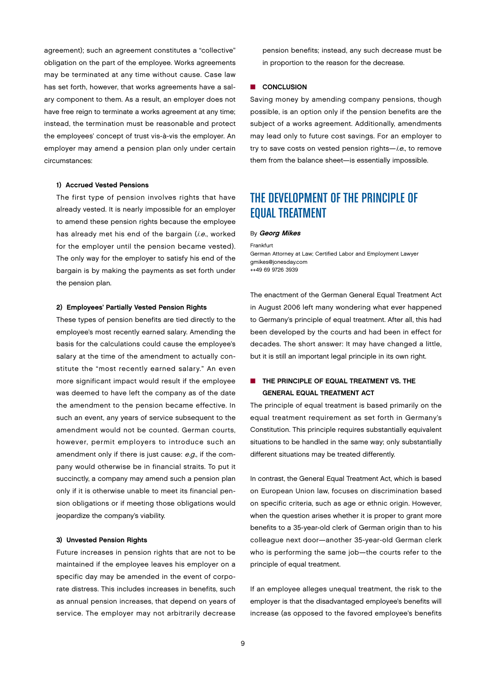agreement); such an agreement constitutes a "collective" obligation on the part of the employee. Works agreements may be terminated at any time without cause. Case law has set forth, however, that works agreements have a salary component to them. As a result, an employer does not have free reign to terminate a works agreement at any time; instead, the termination must be reasonable and protect the employees' concept of trust vis-à-vis the employer. An employer may amend a pension plan only under certain circumstances:

### 1) Accrued Vested Pensions

 The first type of pension involves rights that have already vested. It is nearly impossible for an employer to amend these pension rights because the employee has already met his end of the bargain (i.e., worked for the employer until the pension became vested). The only way for the employer to satisfy his end of the bargain is by making the payments as set forth under the pension plan.

## 2) Employees' Partially Vested Pension Rights

 These types of pension benefits are tied directly to the employee's most recently earned salary. Amending the basis for the calculations could cause the employee's salary at the time of the amendment to actually constitute the "most recently earned salary." An even more significant impact would result if the employee was deemed to have left the company as of the date the amendment to the pension became effective. In such an event, any years of service subsequent to the amendment would not be counted. German courts, however, permit employers to introduce such an amendment only if there is just cause: e.g., if the company would otherwise be in financial straits. To put it succinctly, a company may amend such a pension plan only if it is otherwise unable to meet its financial pension obligations or if meeting those obligations would jeopardize the company's viability.

## 3) Unvested Pension Rights

 Future increases in pension rights that are not to be maintained if the employee leaves his employer on a specific day may be amended in the event of corporate distress. This includes increases in benefits, such as annual pension increases, that depend on years of service. The employer may not arbitrarily decrease

pension benefits; instead, any such decrease must be in proportion to the reason for the decrease.

#### **n** CONCLUSION

Saving money by amending company pensions, though possible, is an option only if the pension benefits are the subject of a works agreement. Additionally, amendments may lead only to future cost savings. For an employer to try to save costs on vested pension rights-i.e., to remove them from the balance sheet—is essentially impossible.

# THE DEVELOPMENT OF THE PRINCIPLE OF EQUAL TREATMENT

#### By Georg Mikes

Frankfurt German Attorney at Law; Certified Labor and Employment Lawyer gmikes@jonesday.com ++49 69 9726 3939

The enactment of the German General Equal Treatment Act in August 2006 left many wondering what ever happened to Germany's principle of equal treatment. After all, this had been developed by the courts and had been in effect for decades. The short answer: It may have changed a little, but it is still an important legal principle in its own right.

# $n$  The Principle of Equal Treatment vs. The General Equal Treatment Act

The principle of equal treatment is based primarily on the equal treatment requirement as set forth in Germany's Constitution. This principle requires substantially equivalent situations to be handled in the same way; only substantially different situations may be treated differently.

In contrast, the General Equal Treatment Act, which is based on European Union law, focuses on discrimination based on specific criteria, such as age or ethnic origin. However, when the question arises whether it is proper to grant more benefits to a 35-year-old clerk of German origin than to his colleague next door—another 35-year-old German clerk who is performing the same job—the courts refer to the principle of equal treatment.

If an employee alleges unequal treatment, the risk to the employer is that the disadvantaged employee's benefits will increase (as opposed to the favored employee's benefits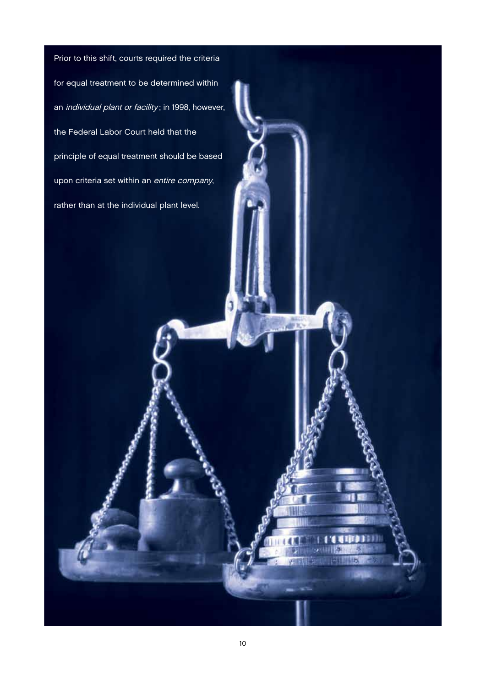Prior to this shift, courts required the criteria for equal treatment to be determined within an *individual plant or facility*; in 1998, however, the Federal Labor Court held that the principle of equal treatment should be based upon criteria set within an entire company, rather than at the individual plant level.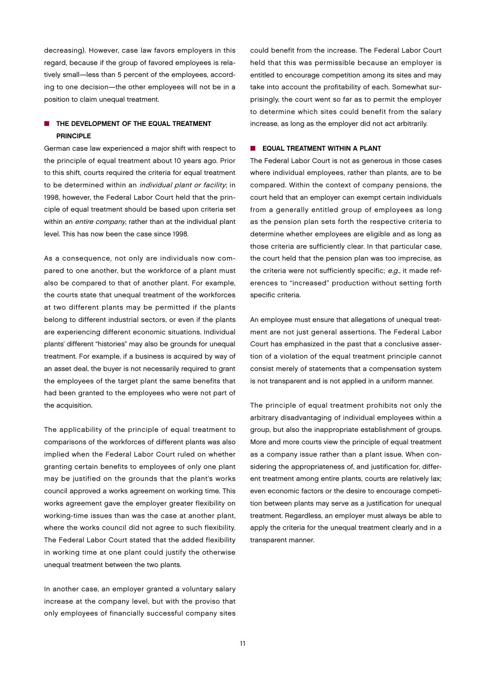decreasing). However, case law favors employers in this regard, because if the group of favored employees is relatively small—less than 5 percent of the employees, according to one decision—the other employees will not be in a position to claim unequal treatment.

# **n** THE DEVELOPMENT OF THE EQUAL TREATMENT **PRINCIPLE**

German case law experienced a major shift with respect to the principle of equal treatment about 10 years ago. Prior to this shift, courts required the criteria for equal treatment to be determined within an *individual plant or facility*; in 1998, however, the Federal Labor Court held that the principle of equal treatment should be based upon criteria set within an entire company, rather than at the individual plant level. This has now been the case since 1998.

As a consequence, not only are individuals now compared to one another, but the workforce of a plant must also be compared to that of another plant. For example, the courts state that unequal treatment of the workforces at two different plants may be permitted if the plants belong to different industrial sectors, or even if the plants are experiencing different economic situations. Individual plants' different "histories" may also be grounds for unequal treatment. For example, if a business is acquired by way of an asset deal, the buyer is not necessarily required to grant the employees of the target plant the same benefits that had been granted to the employees who were not part of the acquisition.

The applicability of the principle of equal treatment to comparisons of the workforces of different plants was also implied when the Federal Labor Court ruled on whether granting certain benefits to employees of only one plant may be justified on the grounds that the plant's works council approved a works agreement on working time. This works agreement gave the employer greater flexibility on working-time issues than was the case at another plant, where the works council did not agree to such flexibility. The Federal Labor Court stated that the added flexibility in working time at one plant could justify the otherwise unequal treatment between the two plants.

In another case, an employer granted a voluntary salary increase at the company level, but with the proviso that only employees of financially successful company sites

could benefit from the increase. The Federal Labor Court held that this was permissible because an employer is entitled to encourage competition among its sites and may take into account the profitability of each. Somewhat surprisingly, the court went so far as to permit the employer to determine which sites could benefit from the salary increase, as long as the employer did not act arbitrarily.

## **N** EQUAL TREATMENT WITHIN A PLANT

The Federal Labor Court is not as generous in those cases where individual employees, rather than plants, are to be compared. Within the context of company pensions, the court held that an employer can exempt certain individuals from a generally entitled group of employees as long as the pension plan sets forth the respective criteria to determine whether employees are eligible and as long as those criteria are sufficiently clear. In that particular case, the court held that the pension plan was too imprecise, as the criteria were not sufficiently specific; e.g., it made references to "increased" production without setting forth specific criteria.

An employee must ensure that allegations of unequal treatment are not just general assertions. The Federal Labor Court has emphasized in the past that a conclusive assertion of a violation of the equal treatment principle cannot consist merely of statements that a compensation system is not transparent and is not applied in a uniform manner.

The principle of equal treatment prohibits not only the arbitrary disadvantaging of individual employees within a group, but also the inappropriate establishment of groups. More and more courts view the principle of equal treatment as a company issue rather than a plant issue. When considering the appropriateness of, and justification for, different treatment among entire plants, courts are relatively lax; even economic factors or the desire to encourage competition between plants may serve as a justification for unequal treatment. Regardless, an employer must always be able to apply the criteria for the unequal treatment clearly and in a transparent manner.